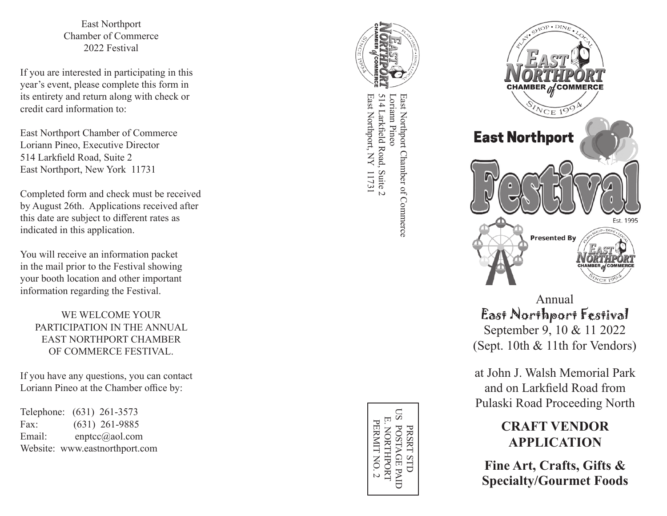East Northport Chamber of Commerce 2022 Festival

If you are interested in participating in this year's event, please complete this form in its entirety and return along with check or credit card information to:

East Northport Chamber of Commerce Loriann Pineo, Executive Director 514 Larkfield Road, Suite 2 East Northport, New York 11731

Completed form and check must be received by August 26th. Applications received after this date are subject to different rates as indicated in this application.

You will receive an information packet in the mail prior to the Festival showing your booth location and other important information regarding the Festival.

WE WELCOME YOUR PARTICIPATION IN THE ANNUAL EAST NORTHPORT CHAMBER OF COMMERCE FESTIVAL.

If you have any questions, you can contact Loriann Pineo at the Chamber office by:

Telephone: (631) 261-3573 Fax: (631) 261-9885 Email: enptcc@aol.com Website: www.eastnorthport.com



East Northport, NY 11731 East Northport, NY 11731 514 Larkfield Road, Suite 2 514 Larkfield Road, Suite 2 Loriann Pineo East Northport Chamber of Commerce East Northport Chamber of Commerce Loriann Pineo



Annual East Northport Festival September 9, 10 & 11 2022 (Sept. 10th & 11th for Vendors)

at John J. Walsh Memorial Park and on Larkfield Road from Pulaski Road Proceeding North

# **CRAFT VENDOR APPLICATION**

**Fine Art, Crafts, Gifts & Specialty/Gourmet Foods** 

PRSRT STD<br>US POSTAGE PAID  $\overline{\Xi}$ E. NORTHPORT PERMITNO. 2 PERMIT NO. 2 NORTHPORT